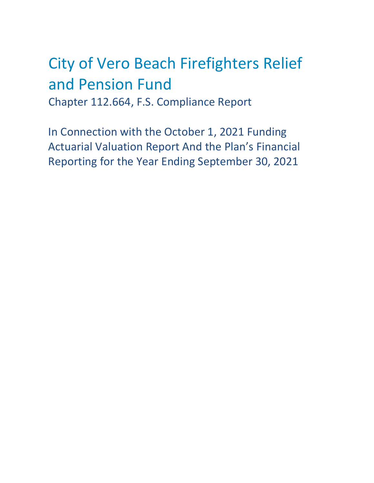# City of Vero Beach Firefighters Relief and Pension Fund Chapter 112.664, F.S. Compliance Report

In Connection with the October 1, 2021 Funding Actuarial Valuation Report And the Plan's Financial Reporting for the Year Ending September 30, 2021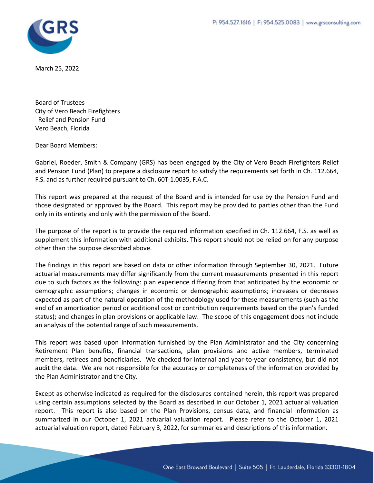

March 25, 2022

Board of Trustees City of Vero Beach Firefighters Relief and Pension Fund Vero Beach, Florida

Dear Board Members:

Gabriel, Roeder, Smith & Company (GRS) has been engaged by the City of Vero Beach Firefighters Relief and Pension Fund (Plan) to prepare a disclosure report to satisfy the requirements set forth in Ch. 112.664, F.S. and as further required pursuant to Ch. 60T‐1.0035, F.A.C.

This report was prepared at the request of the Board and is intended for use by the Pension Fund and those designated or approved by the Board. This report may be provided to parties other than the Fund only in its entirety and only with the permission of the Board.

The purpose of the report is to provide the required information specified in Ch. 112.664, F.S. as well as supplement this information with additional exhibits. This report should not be relied on for any purpose other than the purpose described above.

The findings in this report are based on data or other information through September 30, 2021. Future actuarial measurements may differ significantly from the current measurements presented in this report due to such factors as the following: plan experience differing from that anticipated by the economic or demographic assumptions; changes in economic or demographic assumptions; increases or decreases expected as part of the natural operation of the methodology used for these measurements (such as the end of an amortization period or additional cost or contribution requirements based on the plan's funded status); and changes in plan provisions or applicable law. The scope of this engagement does not include an analysis of the potential range of such measurements.

This report was based upon information furnished by the Plan Administrator and the City concerning Retirement Plan benefits, financial transactions, plan provisions and active members, terminated members, retirees and beneficiaries. We checked for internal and year-to-year consistency, but did not audit the data. We are not responsible for the accuracy or completeness of the information provided by the Plan Administrator and the City.

Except as otherwise indicated as required for the disclosures contained herein, this report was prepared using certain assumptions selected by the Board as described in our October 1, 2021 actuarial valuation report. This report is also based on the Plan Provisions, census data, and financial information as summarized in our October 1, 2021 actuarial valuation report. Please refer to the October 1, 2021 actuarial valuation report, dated February 3, 2022, for summaries and descriptions of this information.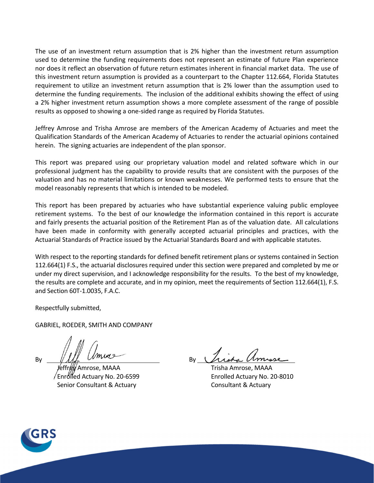The use of an investment return assumption that is 2% higher than the investment return assumption used to determine the funding requirements does not represent an estimate of future Plan experience nor does it reflect an observation of future return estimates inherent in financial market data. The use of this investment return assumption is provided as a counterpart to the Chapter 112.664, Florida Statutes requirement to utilize an investment return assumption that is 2% lower than the assumption used to determine the funding requirements. The inclusion of the additional exhibits showing the effect of using a 2% higher investment return assumption shows a more complete assessment of the range of possible results as opposed to showing a one‐sided range as required by Florida Statutes.

Jeffrey Amrose and Trisha Amrose are members of the American Academy of Actuaries and meet the Qualification Standards of the American Academy of Actuaries to render the actuarial opinions contained herein. The signing actuaries are independent of the plan sponsor.

This report was prepared using our proprietary valuation model and related software which in our professional judgment has the capability to provide results that are consistent with the purposes of the valuation and has no material limitations or known weaknesses. We performed tests to ensure that the model reasonably represents that which is intended to be modeled.

This report has been prepared by actuaries who have substantial experience valuing public employee retirement systems. To the best of our knowledge the information contained in this report is accurate and fairly presents the actuarial position of the Retirement Plan as of the valuation date. All calculations have been made in conformity with generally accepted actuarial principles and practices, with the Actuarial Standards of Practice issued by the Actuarial Standards Board and with applicable statutes.

With respect to the reporting standards for defined benefit retirement plans or systems contained in Section 112.664(1) F.S., the actuarial disclosures required under this section were prepared and completed by me or under my direct supervision, and I acknowledge responsibility for the results. To the best of my knowledge, the results are complete and accurate, and in my opinion, meet the requirements of Section 112.664(1), F.S. and Section 60T‐1.0035, F.A.C.

Respectfully submitted,

GABRIEL, ROEDER, SMITH AND COMPANY

 Jeffrey Amrose, MAAA Trisha Amrose, MAAA Enrolled Actuary No. 20‐6599 Enrolled Actuary No. 20‐8010 Senior Consultant & Actuary Consultant & Actuary

 $By$   $\mathcal{W}$   $\mathcal{W}$   $\mathcal{W}$   $\mathcal{W}$   $\mathcal{W}$   $\mathcal{W}$   $\mathcal{W}$   $\mathcal{W}$   $\mathcal{W}$   $\mathcal{W}$   $\mathcal{W}$   $\mathcal{W}$   $\mathcal{W}$   $\mathcal{W}$   $\mathcal{W}$   $\mathcal{W}$   $\mathcal{W}$   $\mathcal{W}$   $\mathcal{W}$   $\mathcal{W}$   $\mathcal{W}$   $\mathcal{W}$   $\mathcal{W}$   $\mathcal{W}$ 

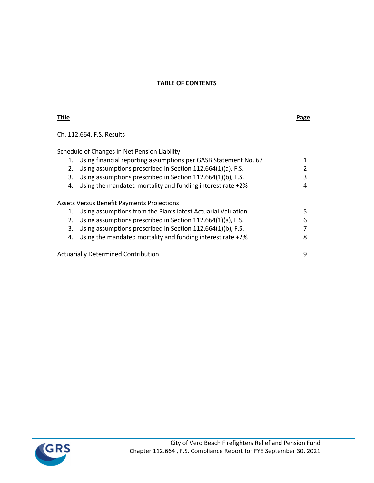# **TABLE OF CONTENTS**

# **Title Page**

Ch. 112.664, F.S. Results

Schedule of Changes in Net Pension Liability

| 1. | Using financial reporting assumptions per GASB Statement No. 67 |   |
|----|-----------------------------------------------------------------|---|
| 2. | Using assumptions prescribed in Section 112.664(1)(a), F.S.     |   |
| 3. | Using assumptions prescribed in Section 112.664(1)(b), F.S.     | 3 |
| 4. | Using the mandated mortality and funding interest rate +2%      | 4 |
|    |                                                                 |   |
|    | <b>Assets Versus Benefit Payments Projections</b>               |   |
| 1. | Using assumptions from the Plan's latest Actuarial Valuation    | 5 |
| 2. | Using assumptions prescribed in Section 112.664(1)(a), F.S.     | 6 |
| 3. | Using assumptions prescribed in Section 112.664(1)(b), F.S.     |   |
| 4. | Using the mandated mortality and funding interest rate +2%      | 8 |
|    |                                                                 |   |
|    | <b>Actuarially Determined Contribution</b>                      | q |

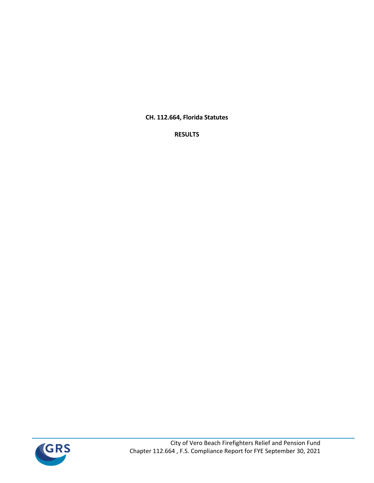**CH. 112.664, Florida Statutes**

**RESULTS**

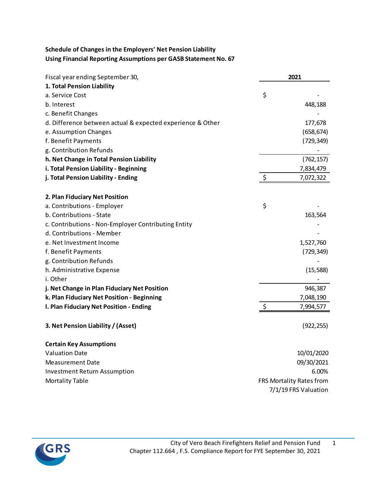# **Schedule of Changes in the Employers' Net Pension Liability Using Financial Reporting Assumptions per GASB Statement No. 67**

| Fiscal year ending September 30,                           |    | 2021                     |
|------------------------------------------------------------|----|--------------------------|
| 1. Total Pension Liability                                 |    |                          |
| a. Service Cost                                            | \$ |                          |
| b. Interest                                                |    | 448,188                  |
| c. Benefit Changes                                         |    |                          |
| d. Difference between actual & expected experience & Other |    | 177,678                  |
| e. Assumption Changes                                      |    | (658, 674)               |
| f. Benefit Payments                                        |    | (729, 349)               |
| g. Contribution Refunds                                    |    |                          |
| h. Net Change in Total Pension Liability                   |    | (762, 157)               |
| i. Total Pension Liability - Beginning                     |    | 7,834,479                |
| j. Total Pension Liability - Ending                        | \$ | 7,072,322                |
| 2. Plan Fiduciary Net Position                             |    |                          |
| a. Contributions - Employer                                | \$ |                          |
| b. Contributions - State                                   |    | 163,564                  |
| c. Contributions - Non-Employer Contributing Entity        |    |                          |
| d. Contributions - Member                                  |    |                          |
| e. Net Investment Income                                   |    | 1,527,760                |
| f. Benefit Payments                                        |    | (729, 349)               |
| g. Contribution Refunds                                    |    |                          |
| h. Administrative Expense                                  |    | (15, 588)                |
| i. Other                                                   |    |                          |
| j. Net Change in Plan Fiduciary Net Position               |    | 946,387                  |
| k. Plan Fiduciary Net Position - Beginning                 |    | 7,048,190                |
| I. Plan Fiduciary Net Position - Ending                    | \$ | 7,994,577                |
| 3. Net Pension Liability / (Asset)                         |    | (922, 255)               |
| <b>Certain Key Assumptions</b>                             |    |                          |
| <b>Valuation Date</b>                                      |    | 10/01/2020               |
| <b>Measurement Date</b>                                    |    | 09/30/2021               |
| <b>Investment Return Assumption</b>                        |    | 6.00%                    |
| <b>Mortality Table</b>                                     |    | FRS Mortality Rates from |
|                                                            |    | 7/1/19 FRS Valuation     |

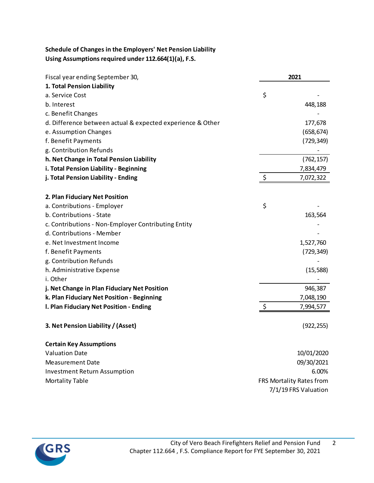# **Schedule of Changes in the Employers' Net Pension Liability Using Assumptions required under 112.664(1)(a), F.S.**

| Fiscal year ending September 30,                           | 2021 |                          |
|------------------------------------------------------------|------|--------------------------|
| 1. Total Pension Liability                                 |      |                          |
| a. Service Cost                                            | \$   |                          |
| b. Interest                                                |      | 448,188                  |
| c. Benefit Changes                                         |      |                          |
| d. Difference between actual & expected experience & Other |      | 177,678                  |
| e. Assumption Changes                                      |      | (658, 674)               |
| f. Benefit Payments                                        |      | (729, 349)               |
| g. Contribution Refunds                                    |      |                          |
| h. Net Change in Total Pension Liability                   |      | (762, 157)               |
| i. Total Pension Liability - Beginning                     |      | 7,834,479                |
| j. Total Pension Liability - Ending                        | \$   | 7,072,322                |
| 2. Plan Fiduciary Net Position                             |      |                          |
| a. Contributions - Employer                                | \$   |                          |
| b. Contributions - State                                   |      | 163,564                  |
| c. Contributions - Non-Employer Contributing Entity        |      |                          |
| d. Contributions - Member                                  |      |                          |
| e. Net Investment Income                                   |      | 1,527,760                |
| f. Benefit Payments                                        |      | (729, 349)               |
| g. Contribution Refunds                                    |      |                          |
| h. Administrative Expense                                  |      | (15, 588)                |
| i. Other                                                   |      |                          |
| j. Net Change in Plan Fiduciary Net Position               |      | 946,387                  |
| k. Plan Fiduciary Net Position - Beginning                 |      | 7,048,190                |
| I. Plan Fiduciary Net Position - Ending                    | \$   | 7,994,577                |
| 3. Net Pension Liability / (Asset)                         |      | (922, 255)               |
| <b>Certain Key Assumptions</b>                             |      |                          |
| <b>Valuation Date</b>                                      |      | 10/01/2020               |
| <b>Measurement Date</b>                                    |      | 09/30/2021               |
| <b>Investment Return Assumption</b>                        |      | 6.00%                    |
| <b>Mortality Table</b>                                     |      | FRS Mortality Rates from |
|                                                            |      | 7/1/19 FRS Valuation     |

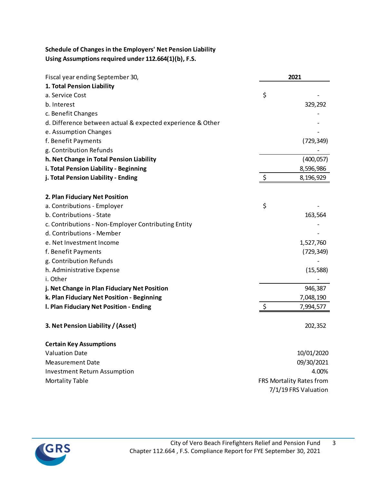# **Schedule of Changes in the Employers' Net Pension Liability Using Assumptions required under 112.664(1)(b), F.S.**

| 2021<br>Fiscal year ending September 30,                   |    |                          |
|------------------------------------------------------------|----|--------------------------|
| 1. Total Pension Liability                                 |    |                          |
| a. Service Cost                                            | \$ |                          |
| b. Interest                                                |    | 329,292                  |
| c. Benefit Changes                                         |    |                          |
| d. Difference between actual & expected experience & Other |    |                          |
| e. Assumption Changes                                      |    |                          |
| f. Benefit Payments                                        |    | (729, 349)               |
| g. Contribution Refunds                                    |    |                          |
| h. Net Change in Total Pension Liability                   |    | (400, 057)               |
| i. Total Pension Liability - Beginning                     |    | 8,596,986                |
| j. Total Pension Liability - Ending                        | \$ | 8,196,929                |
| 2. Plan Fiduciary Net Position                             |    |                          |
| a. Contributions - Employer                                | \$ |                          |
| b. Contributions - State                                   |    | 163,564                  |
| c. Contributions - Non-Employer Contributing Entity        |    |                          |
| d. Contributions - Member                                  |    |                          |
| e. Net Investment Income                                   |    | 1,527,760                |
| f. Benefit Payments                                        |    | (729, 349)               |
| g. Contribution Refunds                                    |    |                          |
| h. Administrative Expense                                  |    | (15, 588)                |
| i. Other                                                   |    |                          |
| j. Net Change in Plan Fiduciary Net Position               |    | 946,387                  |
| k. Plan Fiduciary Net Position - Beginning                 |    | 7,048,190                |
| I. Plan Fiduciary Net Position - Ending                    | \$ | 7,994,577                |
| 3. Net Pension Liability / (Asset)                         |    | 202,352                  |
| <b>Certain Key Assumptions</b>                             |    |                          |
| <b>Valuation Date</b>                                      |    | 10/01/2020               |
| <b>Measurement Date</b>                                    |    | 09/30/2021               |
| <b>Investment Return Assumption</b>                        |    | 4.00%                    |
| <b>Mortality Table</b>                                     |    | FRS Mortality Rates from |
|                                                            |    | 7/1/19 FRS Valuation     |

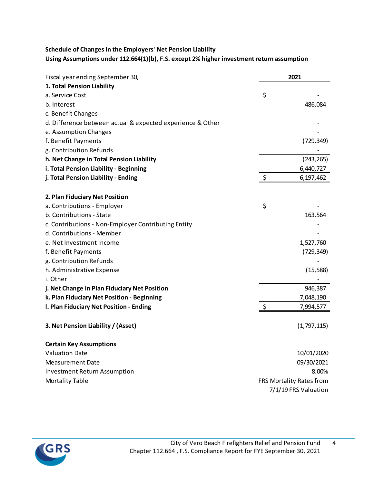# **Schedule of Changes in the Employers' Net Pension Liability Using Assumptions under 112.664(1)(b), F.S. except 2% higherinvestment return assumption**

| Fiscal year ending September 30,                           |         | 2021                     |
|------------------------------------------------------------|---------|--------------------------|
| 1. Total Pension Liability                                 |         |                          |
| a. Service Cost                                            | \$      |                          |
| b. Interest                                                |         | 486,084                  |
| c. Benefit Changes                                         |         |                          |
| d. Difference between actual & expected experience & Other |         |                          |
| e. Assumption Changes                                      |         |                          |
| f. Benefit Payments                                        |         | (729, 349)               |
| g. Contribution Refunds                                    |         |                          |
| h. Net Change in Total Pension Liability                   |         | (243, 265)               |
| i. Total Pension Liability - Beginning                     |         | 6,440,727                |
| j. Total Pension Liability - Ending                        | \$      | 6,197,462                |
| 2. Plan Fiduciary Net Position                             |         |                          |
| a. Contributions - Employer                                | \$      |                          |
| b. Contributions - State                                   |         | 163,564                  |
| c. Contributions - Non-Employer Contributing Entity        |         |                          |
| d. Contributions - Member                                  |         |                          |
| e. Net Investment Income                                   |         | 1,527,760                |
| f. Benefit Payments                                        |         | (729,349)                |
| g. Contribution Refunds                                    |         |                          |
| h. Administrative Expense                                  |         | (15, 588)                |
| i. Other                                                   |         |                          |
| j. Net Change in Plan Fiduciary Net Position               |         | 946,387                  |
| k. Plan Fiduciary Net Position - Beginning                 |         | 7,048,190                |
| I. Plan Fiduciary Net Position - Ending                    | $\zeta$ | 7,994,577                |
| 3. Net Pension Liability / (Asset)                         |         | (1,797,115)              |
| <b>Certain Key Assumptions</b>                             |         |                          |
| <b>Valuation Date</b>                                      |         | 10/01/2020               |
| <b>Measurement Date</b>                                    |         | 09/30/2021               |
| <b>Investment Return Assumption</b>                        |         | 8.00%                    |
| <b>Mortality Table</b>                                     |         | FRS Mortality Rates from |
|                                                            |         | 7/1/19 FRS Valuation     |

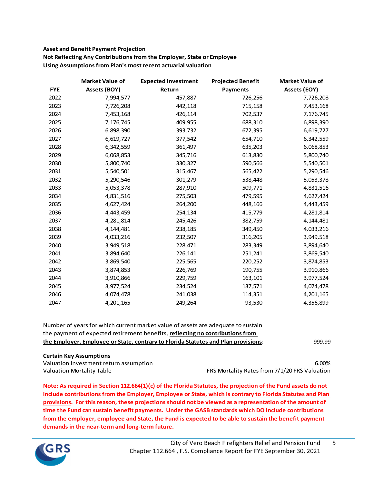#### **Asset and Benefit Payment Projection Not Reflecting Any Contributions from the Employer, State or Employee Using Assumptionsfrom Plan's most recent actuarial valuation**

|            | <b>Market Value of</b> | <b>Expected Investment</b> | <b>Projected Benefit</b> | <b>Market Value of</b> |
|------------|------------------------|----------------------------|--------------------------|------------------------|
| <b>FYE</b> | <b>Assets (BOY)</b>    | Return                     | <b>Payments</b>          | <b>Assets (EOY)</b>    |
| 2022       | 7,994,577              | 457,887                    | 726,256                  | 7,726,208              |
| 2023       | 7,726,208              | 442,118                    | 715,158                  | 7,453,168              |
| 2024       | 7,453,168              | 426,114                    | 702,537                  | 7,176,745              |
| 2025       | 7,176,745              | 409,955                    | 688,310                  | 6,898,390              |
| 2026       | 6,898,390              | 393,732                    | 672,395                  | 6,619,727              |
| 2027       | 6,619,727              | 377,542                    | 654,710                  | 6,342,559              |
| 2028       | 6,342,559              | 361,497                    | 635,203                  | 6,068,853              |
| 2029       | 6,068,853              | 345,716                    | 613,830                  | 5,800,740              |
| 2030       | 5,800,740              | 330,327                    | 590,566                  | 5,540,501              |
| 2031       | 5,540,501              | 315,467                    | 565,422                  | 5,290,546              |
| 2032       | 5,290,546              | 301,279                    | 538,448                  | 5,053,378              |
| 2033       | 5,053,378              | 287,910                    | 509,771                  | 4,831,516              |
| 2034       | 4,831,516              | 275,503                    | 479,595                  | 4,627,424              |
| 2035       | 4,627,424              | 264,200                    | 448,166                  | 4,443,459              |
| 2036       | 4,443,459              | 254,134                    | 415,779                  | 4,281,814              |
| 2037       | 4,281,814              | 245,426                    | 382,759                  | 4,144,481              |
| 2038       | 4,144,481              | 238,185                    | 349,450                  | 4,033,216              |
| 2039       | 4,033,216              | 232,507                    | 316,205                  | 3,949,518              |
| 2040       | 3,949,518              | 228,471                    | 283,349                  | 3,894,640              |
| 2041       | 3,894,640              | 226,141                    | 251,241                  | 3,869,540              |
| 2042       | 3,869,540              | 225,565                    | 220,252                  | 3,874,853              |
| 2043       | 3,874,853              | 226,769                    | 190,755                  | 3,910,866              |
| 2044       | 3,910,866              | 229,759                    | 163,101                  | 3,977,524              |
| 2045       | 3,977,524              | 234,524                    | 137,571                  | 4,074,478              |
| 2046       | 4,074,478              | 241,038                    | 114,351                  | 4,201,165              |
| 2047       | 4,201,165              | 249,264                    | 93,530                   | 4,356,899              |

| Number of years for which current market value of assets are adequate to sustain   |        |
|------------------------------------------------------------------------------------|--------|
| the payment of expected retirement benefits, reflecting no contributions from      |        |
| the Employer, Employee or State, contrary to Florida Statutes and Plan provisions: | 999.99 |

#### **Certain Key Assumptions**

Valuation Investment return assumption 6.00%

Valuation Mortality Table FRS Mortality Rates from 7/1/20 FRS Valuation

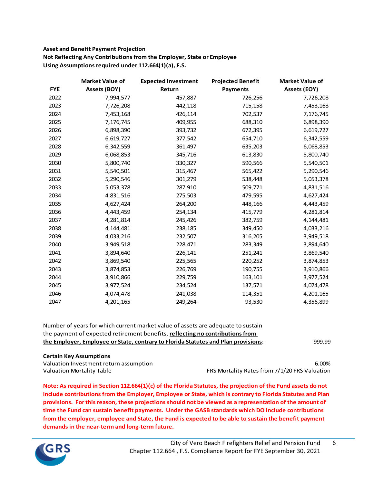### **Asset and Benefit Payment Projection Not Reflecting Any Contributions from the Employer, State or Employee Using Assumptionsrequired under 112.664(1)(a), F.S.**

|            | <b>Market Value of</b> | <b>Expected Investment</b> | <b>Projected Benefit</b> | <b>Market Value of</b> |
|------------|------------------------|----------------------------|--------------------------|------------------------|
| <b>FYE</b> | Assets (BOY)           | Return                     | <b>Payments</b>          | <b>Assets (EOY)</b>    |
| 2022       | 7,994,577              | 457,887                    | 726,256                  | 7,726,208              |
| 2023       | 7,726,208              | 442,118                    | 715,158                  | 7,453,168              |
| 2024       | 7,453,168              | 426,114                    | 702,537                  | 7,176,745              |
| 2025       | 7,176,745              | 409,955                    | 688,310                  | 6,898,390              |
| 2026       | 6,898,390              | 393,732                    | 672,395                  | 6,619,727              |
| 2027       | 6,619,727              | 377,542                    | 654,710                  | 6,342,559              |
| 2028       | 6,342,559              | 361,497                    | 635,203                  | 6,068,853              |
| 2029       | 6,068,853              | 345,716                    | 613,830                  | 5,800,740              |
| 2030       | 5,800,740              | 330,327                    | 590,566                  | 5,540,501              |
| 2031       | 5,540,501              | 315,467                    | 565,422                  | 5,290,546              |
| 2032       | 5,290,546              | 301,279                    | 538,448                  | 5,053,378              |
| 2033       | 5,053,378              | 287,910                    | 509,771                  | 4,831,516              |
| 2034       | 4,831,516              | 275,503                    | 479,595                  | 4,627,424              |
| 2035       | 4,627,424              | 264,200                    | 448,166                  | 4,443,459              |
| 2036       | 4,443,459              | 254,134                    | 415,779                  | 4,281,814              |
| 2037       | 4,281,814              | 245,426                    | 382,759                  | 4,144,481              |
| 2038       | 4,144,481              | 238,185                    | 349,450                  | 4,033,216              |
| 2039       | 4,033,216              | 232,507                    | 316,205                  | 3,949,518              |
| 2040       | 3,949,518              | 228,471                    | 283,349                  | 3,894,640              |
| 2041       | 3,894,640              | 226,141                    | 251,241                  | 3,869,540              |
| 2042       | 3,869,540              | 225,565                    | 220,252                  | 3,874,853              |
| 2043       | 3,874,853              | 226,769                    | 190,755                  | 3,910,866              |
| 2044       | 3,910,866              | 229,759                    | 163,101                  | 3,977,524              |
| 2045       | 3,977,524              | 234,524                    | 137,571                  | 4,074,478              |
| 2046       | 4,074,478              | 241,038                    | 114,351                  | 4,201,165              |
| 2047       | 4,201,165              | 249,264                    | 93,530                   | 4,356,899              |

| the payment of expected retirement benefits, reflecting no contributions from      |        |
|------------------------------------------------------------------------------------|--------|
| the Employer, Employee or State, contrary to Florida Statutes and Plan provisions: | 999.99 |

#### **Certain Key Assumptions**

Valuation Investment return assumption 6.00%

Valuation Mortality Table FRS Mortality Rates from 7/1/20 FRS Valuation

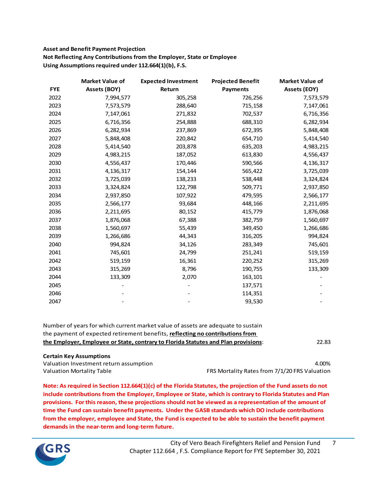#### **Asset and Benefit Payment Projection Not Reflecting Any Contributions from the Employer, State or Employee Using Assumptions required under 112.664(1)(b), F.S.**

|            | <b>Market Value of</b> | <b>Expected Investment</b> | <b>Projected Benefit</b> | <b>Market Value of</b> |
|------------|------------------------|----------------------------|--------------------------|------------------------|
| <b>FYE</b> | Assets (BOY)           | Return                     | <b>Payments</b>          | <b>Assets (EOY)</b>    |
| 2022       | 7,994,577              | 305,258                    | 726,256                  | 7,573,579              |
| 2023       | 7,573,579              | 288,640                    | 715,158                  | 7,147,061              |
| 2024       | 7,147,061              | 271,832                    | 702,537                  | 6,716,356              |
| 2025       | 6,716,356              | 254,888                    | 688,310                  | 6,282,934              |
| 2026       | 6,282,934              | 237,869                    | 672,395                  | 5,848,408              |
| 2027       | 5,848,408              | 220,842                    | 654,710                  | 5,414,540              |
| 2028       | 5,414,540              | 203,878                    | 635,203                  | 4,983,215              |
| 2029       | 4,983,215              | 187,052                    | 613,830                  | 4,556,437              |
| 2030       | 4,556,437              | 170,446                    | 590,566                  | 4,136,317              |
| 2031       | 4,136,317              | 154,144                    | 565,422                  | 3,725,039              |
| 2032       | 3,725,039              | 138,233                    | 538,448                  | 3,324,824              |
| 2033       | 3,324,824              | 122,798                    | 509,771                  | 2,937,850              |
| 2034       | 2,937,850              | 107,922                    | 479,595                  | 2,566,177              |
| 2035       | 2,566,177              | 93,684                     | 448,166                  | 2,211,695              |
| 2036       | 2,211,695              | 80,152                     | 415,779                  | 1,876,068              |
| 2037       | 1,876,068              | 67,388                     | 382,759                  | 1,560,697              |
| 2038       | 1,560,697              | 55,439                     | 349,450                  | 1,266,686              |
| 2039       | 1,266,686              | 44,343                     | 316,205                  | 994,824                |
| 2040       | 994,824                | 34,126                     | 283,349                  | 745,601                |
| 2041       | 745,601                | 24,799                     | 251,241                  | 519,159                |
| 2042       | 519,159                | 16,361                     | 220,252                  | 315,269                |
| 2043       | 315,269                | 8,796                      | 190,755                  | 133,309                |
| 2044       | 133,309                | 2,070                      | 163,101                  |                        |
| 2045       |                        |                            | 137,571                  |                        |
| 2046       |                        |                            | 114,351                  |                        |
| 2047       |                        |                            | 93,530                   |                        |

| Number of years for which current market value of assets are adequate to sustain   |       |
|------------------------------------------------------------------------------------|-------|
| the payment of expected retirement benefits, reflecting no contributions from      |       |
| the Employer, Employee or State, contrary to Florida Statutes and Plan provisions: | 22.83 |
|                                                                                    |       |

#### **Certain Key Assumptions**

Valuation Investment return assumption and the control of the control of the control of the control of the control of the control of the control of the control of the control of the control of the control of the control of Valuation Mortality Table FRS Mortality Rates from 7/1/20 FRS Valuation

7

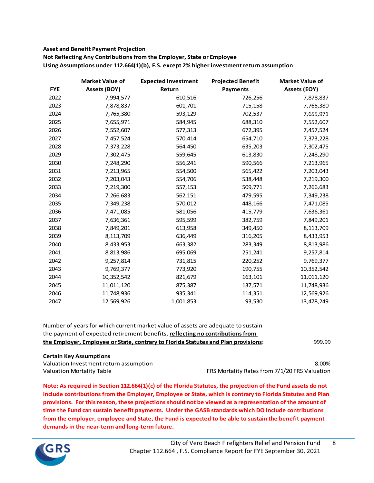#### **Asset and Benefit Payment Projection**

**Not Reflecting Any Contributions from the Employer, State or Employee**

**Using Assumptions under 112.664(1)(b), F.S. except 2% higher investment return assumption**

|            | <b>Market Value of</b> | <b>Expected Investment</b> | <b>Projected Benefit</b> | <b>Market Value of</b> |
|------------|------------------------|----------------------------|--------------------------|------------------------|
| <b>FYE</b> | <b>Assets (BOY)</b>    | Return                     | <b>Payments</b>          | <b>Assets (EOY)</b>    |
| 2022       | 7,994,577              | 610,516                    | 726,256                  | 7,878,837              |
| 2023       | 7,878,837              | 601,701                    | 715,158                  | 7,765,380              |
| 2024       | 7,765,380              | 593,129                    | 702,537                  | 7,655,971              |
| 2025       | 7,655,971              | 584,945                    | 688,310                  | 7,552,607              |
| 2026       | 7,552,607              | 577,313                    | 672,395                  | 7,457,524              |
| 2027       | 7,457,524              | 570,414                    | 654,710                  | 7,373,228              |
| 2028       | 7,373,228              | 564,450                    | 635,203                  | 7,302,475              |
| 2029       | 7,302,475              | 559,645                    | 613,830                  | 7,248,290              |
| 2030       | 7,248,290              | 556,241                    | 590,566                  | 7,213,965              |
| 2031       | 7,213,965              | 554,500                    | 565,422                  | 7,203,043              |
| 2032       | 7,203,043              | 554,706                    | 538,448                  | 7,219,300              |
| 2033       | 7,219,300              | 557,153                    | 509,771                  | 7,266,683              |
| 2034       | 7,266,683              | 562,151                    | 479,595                  | 7,349,238              |
| 2035       | 7,349,238              | 570,012                    | 448,166                  | 7,471,085              |
| 2036       | 7,471,085              | 581,056                    | 415,779                  | 7,636,361              |
| 2037       | 7,636,361              | 595,599                    | 382,759                  | 7,849,201              |
| 2038       | 7,849,201              | 613,958                    | 349,450                  | 8,113,709              |
| 2039       | 8,113,709              | 636,449                    | 316,205                  | 8,433,953              |
| 2040       | 8,433,953              | 663,382                    | 283,349                  | 8,813,986              |
| 2041       | 8,813,986              | 695,069                    | 251,241                  | 9,257,814              |
| 2042       | 9,257,814              | 731,815                    | 220,252                  | 9,769,377              |
| 2043       | 9,769,377              | 773,920                    | 190,755                  | 10,352,542             |
| 2044       | 10,352,542             | 821,679                    | 163,101                  | 11,011,120             |
| 2045       | 11,011,120             | 875,387                    | 137,571                  | 11,748,936             |
| 2046       | 11,748,936             | 935,341                    | 114,351                  | 12,569,926             |
| 2047       | 12,569,926             | 1,001,853                  | 93,530                   | 13,478,249             |

| the Employer, Employee or State, contrary to Florida Statutes and Plan provisions: | 999.99 |
|------------------------------------------------------------------------------------|--------|
| the payment of expected retirement benefits, reflecting no contributions from      |        |
| Number of years for which current market value of assets are adequate to sustain   |        |

#### **Certain Key Assumptions**

Valuation Investment return assumption 8.00%

Valuation Mortality Table FRS Mortality Rates from 7/1/20 FRS Valuation